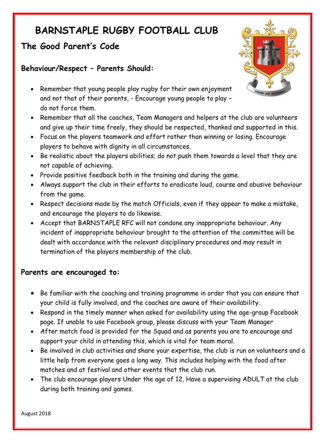# **BARNSTAPLE RUGBY FOOTBALL CLUB**

# **The Good Parent's Code**

## **Behaviour/Respect – Parents Should:**



- Remember that young people play rugby for their own enjoyment and not that of their parents, - Encourage young people to play – do not force them.
- Remember that all the coaches, Team Managers and helpers at the club are volunteers and give up their time freely, they should be respected, thanked and supported in this.
- Focus on the players teamwork and effort rather than winning or losing. Encourage players to behave with dignity in all circumstances.
- Be realistic about the players abilities; do not push them towards a level that they are not capable of achieving.
- Provide positive feedback both in the training and during the game.
- Always support the club in their efforts to eradicate loud, course and abusive behaviour from the game.
- Respect decisions made by the match Officials, even if they appear to make a mistake, and encourage the players to do likewise.
- Accept that BARNSTAPLE RFC will not condone any inappropriate behaviour. Any incident of inappropriate behaviour brought to the attention of the committee will be dealt with accordance with the relevant disciplinary procedures and may result in termination of the players membership of the club.

### **Parents are encouraged to:**

- Be familiar with the coaching and training programme in order that you can ensure that your child is fully involved, and the coaches are aware of their availability.
- Respond in the timely manner when asked for availability using the age-group Facebook page. If unable to use Facebook group, please discuss with your Team Manager
- After match food is provided for the Squad and as parents you are to encourage and support your child in attending this, which is vital for team moral.
- Be involved in club activities and share your expertise, the club is run on volunteers and a little help from everyone goes a long way. This includes helping with the food after matches and at festival and other events that the club run.
- The club encourage players Under the age of 12, Have a supervising ADULT at the club during both training and games.